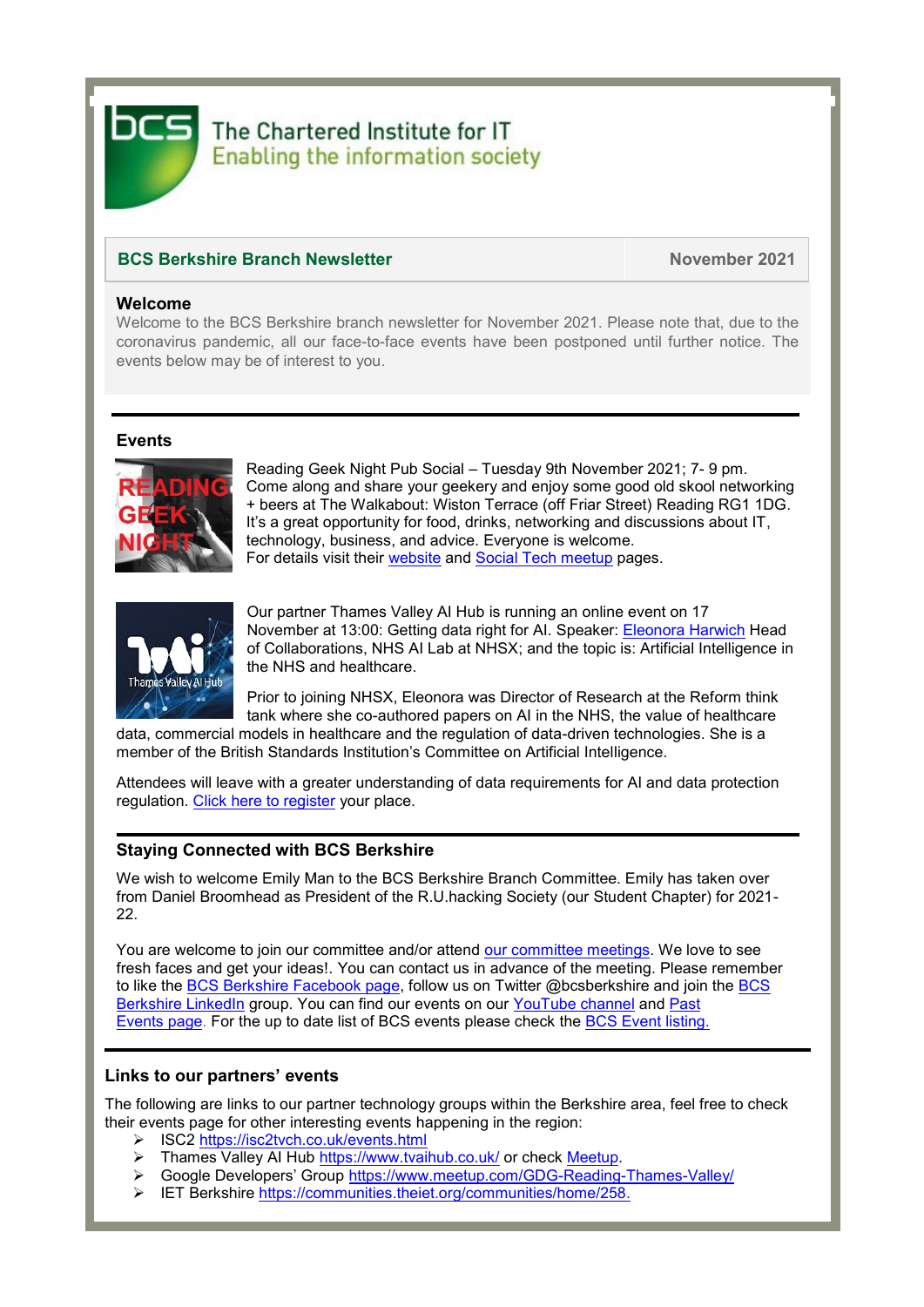

# The Chartered Institute for IT **Enabling the information society**

## **BCS Berkshire Branch Newsletter November 2021**

#### **Welcome**

Welcome to the BCS Berkshire branch newsletter for November 2021. Please note that, due to the coronavirus pandemic, all our face-to-face events have been postponed until further notice. The events below may be of interest to you.

#### **Events**



Reading Geek Night Pub Social – Tuesday 9th November 2021; 7- 9 pm. Come along and share your geekery and enjoy some good old skool networking + beers at The Walkabout: Wiston Terrace (off Friar Street) Reading RG1 1DG. It's a great opportunity for food, drinks, networking and discussions about IT, technology, business, and advice. Everyone is welcome. For details visit their [website](https://rdggeeknight.wordpress.com/) and [Social Tech meetup](https://www.meetup.com/socialtechgroup/) pages.



Our partner Thames Valley AI Hub is running an online event on 17 November at 13:00: Getting data right for AI. Speaker: [Eleonora Harwich](https://eur03.safelinks.protection.outlook.com/?url=https%3A%2F%2Fwww.linkedin.com%2Fin%2Fele-h-6357a717%2F&data=04%7C01%7Cc.stratford%40reading.ac.uk%7C008ccfb824a045399ad308d99e48e68b%7C4ffa3bc4ecfc48c09080f5e43ff90e5f%7C0%7C0%7C637714858210522436%7CUnknown%7CTWFpbGZsb3d8eyJWIjoiMC4wLjAwMDAiLCJQIjoiV2luMzIiLCJBTiI6Ik1haWwiLCJXVCI6Mn0%3D%7C1000&sdata=2fgLJxz7avgwufSZo8XyU2KTQ%2BA6tllL%2F1YXo%2BilVfA%3D&reserved=0) Head of Collaborations, NHS AI Lab at NHSX; and the topic is: Artificial Intelligence in the NHS and healthcare.

Prior to joining NHSX, Eleonora was Director of Research at the Reform think tank where she co-authored papers on AI in the NHS, the value of healthcare

data, commercial models in healthcare and the regulation of data-driven technologies. She is a member of the British Standards Institution's Committee on Artificial Intelligence.

Attendees will leave with a greater understanding of data requirements for AI and data protection regulation. [Click here to register](https://eur03.safelinks.protection.outlook.com/?url=https%3A%2F%2Fwww.eventbrite.co.uk%2Fe%2Fgetting-data-right-for-ai-tickets-176369153887&data=04%7C01%7Cc.stratford%40reading.ac.uk%7C008ccfb824a045399ad308d99e48e68b%7C4ffa3bc4ecfc48c09080f5e43ff90e5f%7C0%7C0%7C637714858210522436%7CUnknown%7CTWFpbGZsb3d8eyJWIjoiMC4wLjAwMDAiLCJQIjoiV2luMzIiLCJBTiI6Ik1haWwiLCJXVCI6Mn0%3D%7C1000&sdata=TSg3nqxdsgJB6rtuWu3y6jG7EWhi4MD2vymxI10B8zA%3D&reserved=0) your place.

### **Staying Connected with BCS Berkshire**

We wish to welcome Emily Man to the BCS Berkshire Branch Committee. Emily has taken over from Daniel Broomhead as President of the R.U.hacking Society (our Student Chapter) for 2021- 22.

You are welcome to join our committee and/or attend [our committee meetings.](https://www.bcs.org/membership/member-communities/berkshire-branch/committee/) We love to see fresh faces and get your ideas!. You can contact us in advance of the meeting. Please remember to like the [BCS Berkshire Facebook page,](https://www.facebook.com/pages/BCS-Berkshire/246243855431896) follow us on Twitter @bcsberkshire and join the BCS [Berkshire LinkedIn](https://www.linkedin.com/groups/5052921/) group. You can find our events on our [YouTube channel](https://www.youtube.com/channel/UCo4nZ_Bf6KVlb5RntpfV3mw) and Past [Events](https://www.bcs.org/membership/member-communities/berkshire-branch/past-events/) page. For the up to date list of BCS events please check the [BCS Event listing.](https://www.bcs.org/events/)

#### **Links to our partners' events**

The following are links to our partner technology groups within the Berkshire area, feel free to check their events page for other interesting events happening in the region:

- ➢ ISC2<https://isc2tvch.co.uk/events.html>
- ➢ Thames Valley AI Hub<https://www.tvaihub.co.uk/> or check [Meetup.](https://www.meetup.com/en-AU/Thames-Valley-AI-HUB)
- ➢ Google Developers' Group <https://www.meetup.com/GDG-Reading-Thames-Valley/>
- ➢ IET Berkshire [https://communities.theiet.org/communities/home/258.](https://communities.theiet.org/communities/home/258)